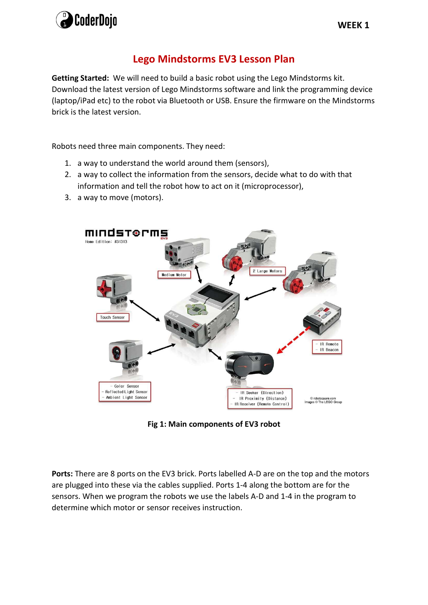

## Lego Mindstorms EV3 Lesson Plan

Getting Started: We will need to build a basic robot using the Lego Mindstorms kit. Download the latest version of Lego Mindstorms software and link the programming device (laptop/iPad etc) to the robot via Bluetooth or USB. Ensure the firmware on the Mindstorms brick is the latest version.

Robots need three main components. They need:

- 1. a way to understand the world around them (sensors),
- 2. a way to collect the information from the sensors, decide what to do with that information and tell the robot how to act on it (microprocessor),
- 3. a way to move (motors).



Fig 1: Main components of EV3 robot

Ports: There are 8 ports on the EV3 brick. Ports labelled A-D are on the top and the motors are plugged into these via the cables supplied. Ports 1-4 along the bottom are for the sensors. When we program the robots we use the labels A-D and 1-4 in the program to determine which motor or sensor receives instruction.